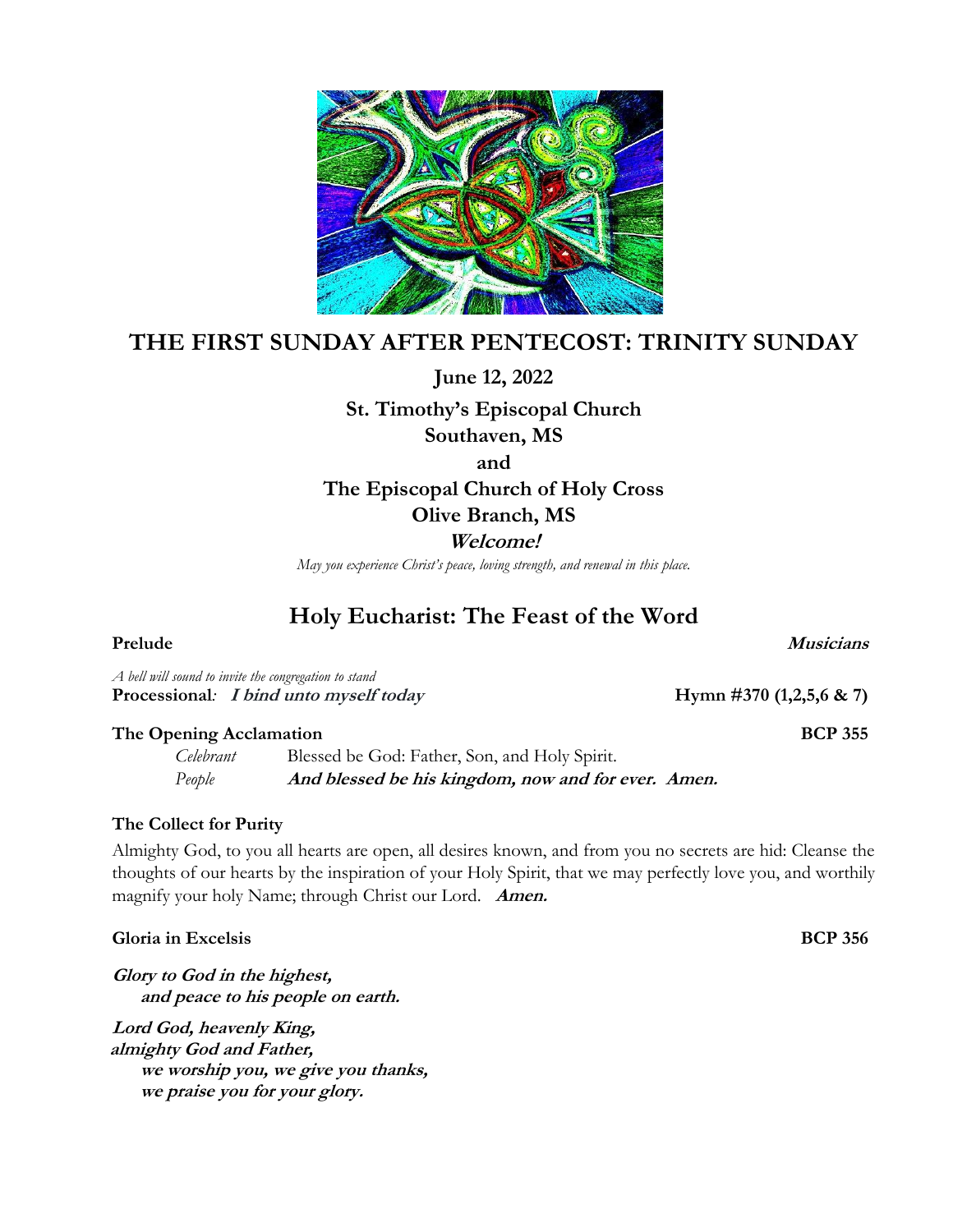

# **THE FIRST SUNDAY AFTER PENTECOST: TRINITY SUNDAY**

**June 12, 2022**

**St. Timothy's Episcopal Church Southaven, MS**

**and**

**The Episcopal Church of Holy Cross**

**Olive Branch, MS**

**Welcome!**

*May you experience Christ's peace, loving strength, and renewal in this place.* 

# **Holy Eucharist: The Feast of the Word**

# **Prelude Musicians**

*A bell will sound to invite the congregation to stand* **Processional**: *I bind unto myself today* **Hymn #370 (1,2,5,6 & 7)** 

# **The Opening Acclamation BCP** 355

*Celebrant* Blessed be God: Father, Son, and Holy Spirit. *People* **And blessed be his kingdom, now and for ever. Amen.**

# **The Collect for Purity**

Almighty God, to you all hearts are open, all desires known, and from you no secrets are hid: Cleanse the thoughts of our hearts by the inspiration of your Holy Spirit, that we may perfectly love you, and worthily magnify your holy Name; through Christ our Lord. **Amen.**

# **Gloria in Excelsis BCP** 356

**Glory to God in the highest, and peace to his people on earth.**

**Lord God, heavenly King, almighty God and Father, we worship you, we give you thanks, we praise you for your glory.**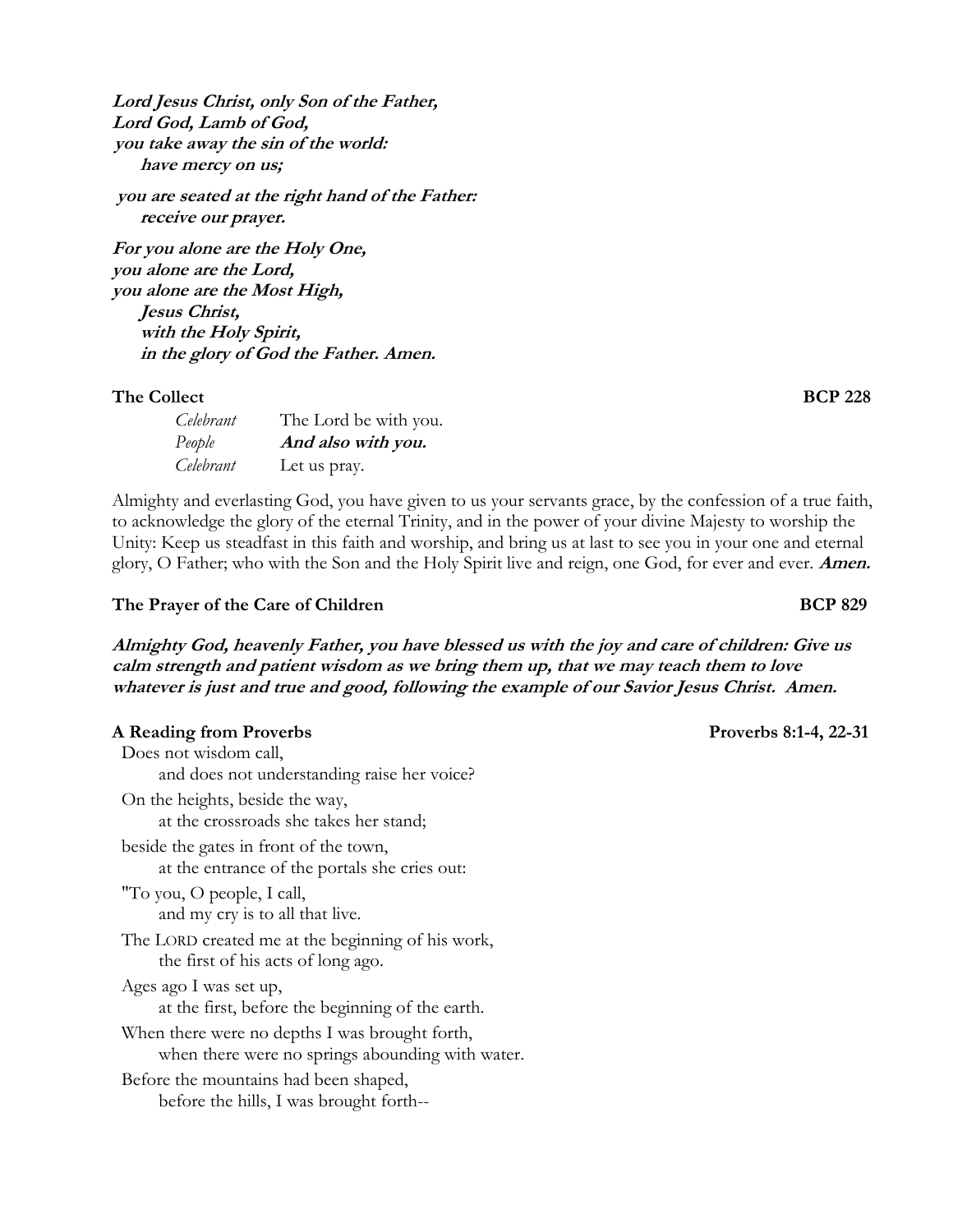**Lord Jesus Christ, only Son of the Father, Lord God, Lamb of God, you take away the sin of the world: have mercy on us;**

**you are seated at the right hand of the Father: receive our prayer.**

**For you alone are the Holy One, you alone are the Lord, you alone are the Most High, Jesus Christ, with the Holy Spirit, in the glory of God the Father. Amen.**

### **The Collect** BCP 228

| Celebrant | The Lord be with you. |
|-----------|-----------------------|
| People    | And also with you.    |
| Celebrant | Let us pray.          |

Almighty and everlasting God, you have given to us your servants grace, by the confession of a true faith, to acknowledge the glory of the eternal Trinity, and in the power of your divine Majesty to worship the Unity: Keep us steadfast in this faith and worship, and bring us at last to see you in your one and eternal glory, O Father; who with the Son and the Holy Spirit live and reign, one God, for ever and ever. **Amen.**

# The Prayer of the Care of Children BCP 829

**Almighty God, heavenly Father, you have blessed us with the joy and care of children: Give us calm strength and patient wisdom as we bring them up, that we may teach them to love whatever is just and true and good, following the example of our Savior Jesus Christ. Amen.**

| A Reading from Proverbs                           | Proverbs 8:1-4, 22-31 |
|---------------------------------------------------|-----------------------|
| Does not wisdom call,                             |                       |
| and does not understanding raise her voice?       |                       |
| On the heights, beside the way,                   |                       |
| at the crossroads she takes her stand;            |                       |
| beside the gates in front of the town,            |                       |
| at the entrance of the portals she cries out:     |                       |
| "To you, O people, I call,                        |                       |
| and my cry is to all that live.                   |                       |
| The LORD created me at the beginning of his work, |                       |
| the first of his acts of long ago.                |                       |
| Ages ago I was set up,                            |                       |
| at the first, before the beginning of the earth.  |                       |
| When there were no depths I was brought forth,    |                       |
| when there were no springs abounding with water.  |                       |
| Before the mountains had been shaped,             |                       |
| before the hills, I was brought forth--           |                       |
|                                                   |                       |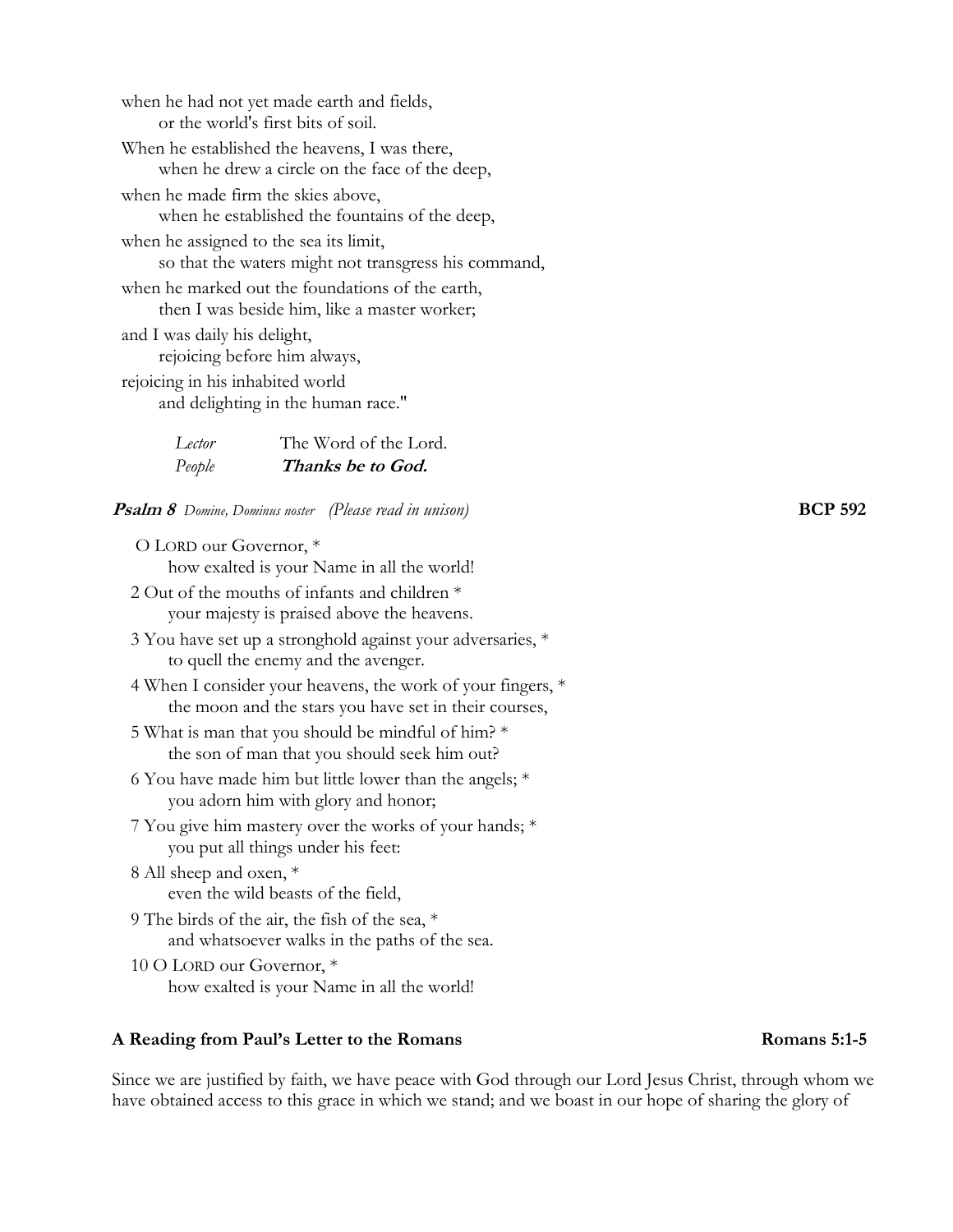when he had not yet made earth and fields, or the world's first bits of soil. When he established the heavens, I was there, when he drew a circle on the face of the deep, when he made firm the skies above, when he established the fountains of the deep, when he assigned to the sea its limit, so that the waters might not transgress his command, when he marked out the foundations of the earth, then I was beside him, like a master worker; and I was daily his delight, rejoicing before him always, rejoicing in his inhabited world and delighting in the human race." *Lector* The Word of the Lord.

| Lector | The word of the Lord. |
|--------|-----------------------|
| People | Thanks be to God.     |

#### **Psalm 8** Domine, Dominus noster *(Please read in unison)* **BCP 592 BCP 592**

O LORD our Governor, \* how exalted is your Name in all the world!

- 2 Out of the mouths of infants and children \* your majesty is praised above the heavens.
- 3 You have set up a stronghold against your adversaries, \* to quell the enemy and the avenger.
- 4 When I consider your heavens, the work of your fingers, \* the moon and the stars you have set in their courses,
- 5 What is man that you should be mindful of him? \* the son of man that you should seek him out?
- 6 You have made him but little lower than the angels; \* you adorn him with glory and honor;
- 7 You give him mastery over the works of your hands; \* you put all things under his feet:

# 8 All sheep and oxen, \* even the wild beasts of the field,

# 9 The birds of the air, the fish of the sea, \* and whatsoever walks in the paths of the sea. 10 O LORD our Governor, \*

how exalted is your Name in all the world!

# **A Reading from Paul's Letter to the Romans Romans 5:1-5**

Since we are justified by faith, we have peace with God through our Lord Jesus Christ, through whom we have obtained access to this grace in which we stand; and we boast in our hope of sharing the glory of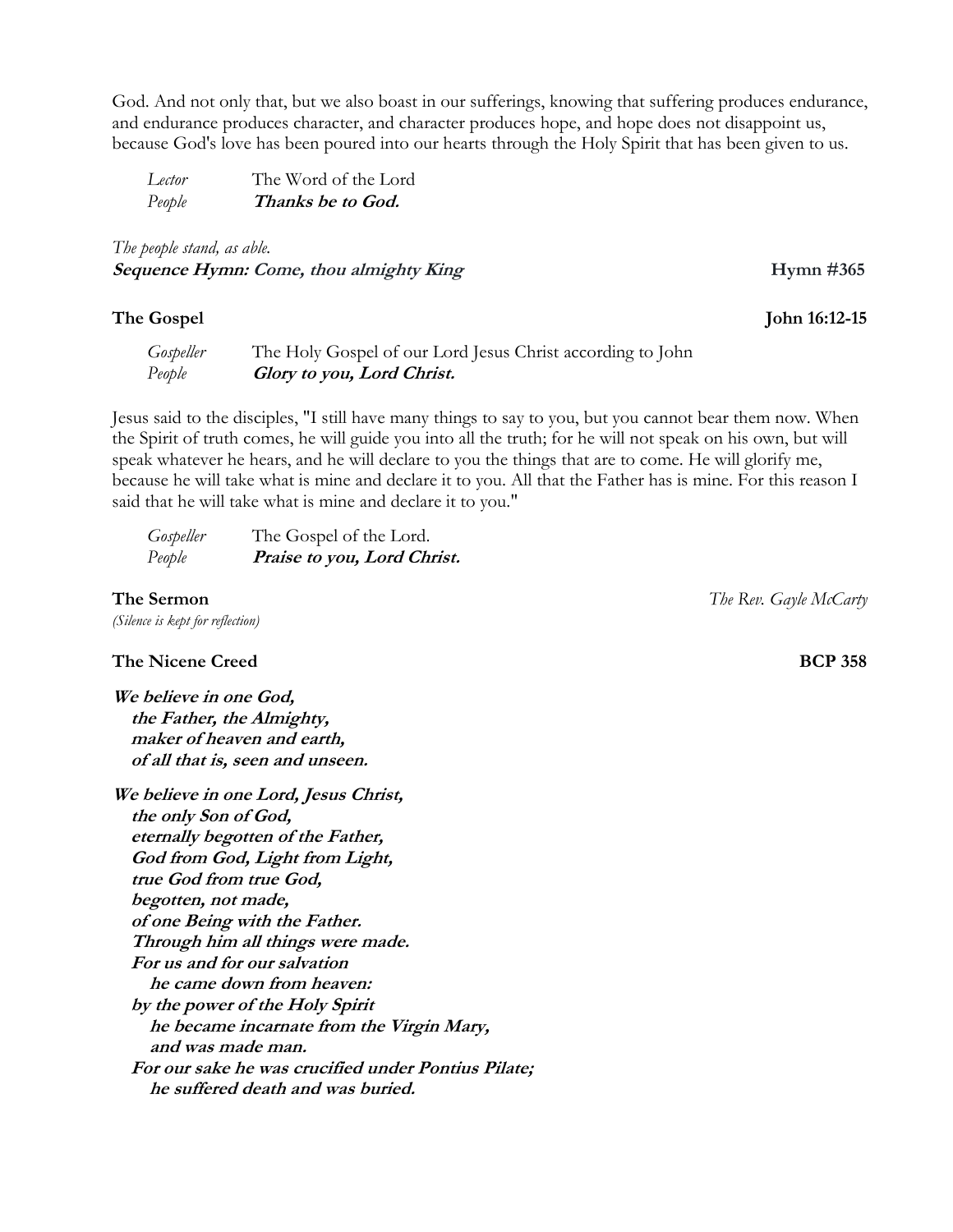God. And not only that, but we also boast in our sufferings, knowing that suffering produces endurance, and endurance produces character, and character produces hope, and hope does not disappoint us, because God's love has been poured into our hearts through the Holy Spirit that has been given to us.

| Lector | The Word of the Lord |
|--------|----------------------|
| People | Thanks be to God.    |

*The people stand, as able.* **Sequence Hymn: Come, thou almighty King Hymn #365 Hymn #365** 

## **The Gospel** John 16:12-15

*Gospeller* The Holy Gospel of our Lord Jesus Christ according to John *People* **Glory to you, Lord Christ.**

Jesus said to the disciples, "I still have many things to say to you, but you cannot bear them now. When the Spirit of truth comes, he will guide you into all the truth; for he will not speak on his own, but will speak whatever he hears, and he will declare to you the things that are to come. He will glorify me, because he will take what is mine and declare it to you. All that the Father has is mine. For this reason I said that he will take what is mine and declare it to you."

| Gospeller | The Gospel of the Lord.     |
|-----------|-----------------------------|
| People    | Praise to you, Lord Christ. |

*(Silence is kept for reflection)*

#### **The Nicene Creed BCP 358**

**We believe in one God, the Father, the Almighty, maker of heaven and earth, of all that is, seen and unseen.**

**We believe in one Lord, Jesus Christ, the only Son of God, eternally begotten of the Father, God from God, Light from Light, true God from true God, begotten, not made, of one Being with the Father. Through him all things were made. For us and for our salvation he came down from heaven: by the power of the Holy Spirit he became incarnate from the Virgin Mary, and was made man. For our sake he was crucified under Pontius Pilate; he suffered death and was buried.**

**The Sermon** *The Rev. Gayle McCarty*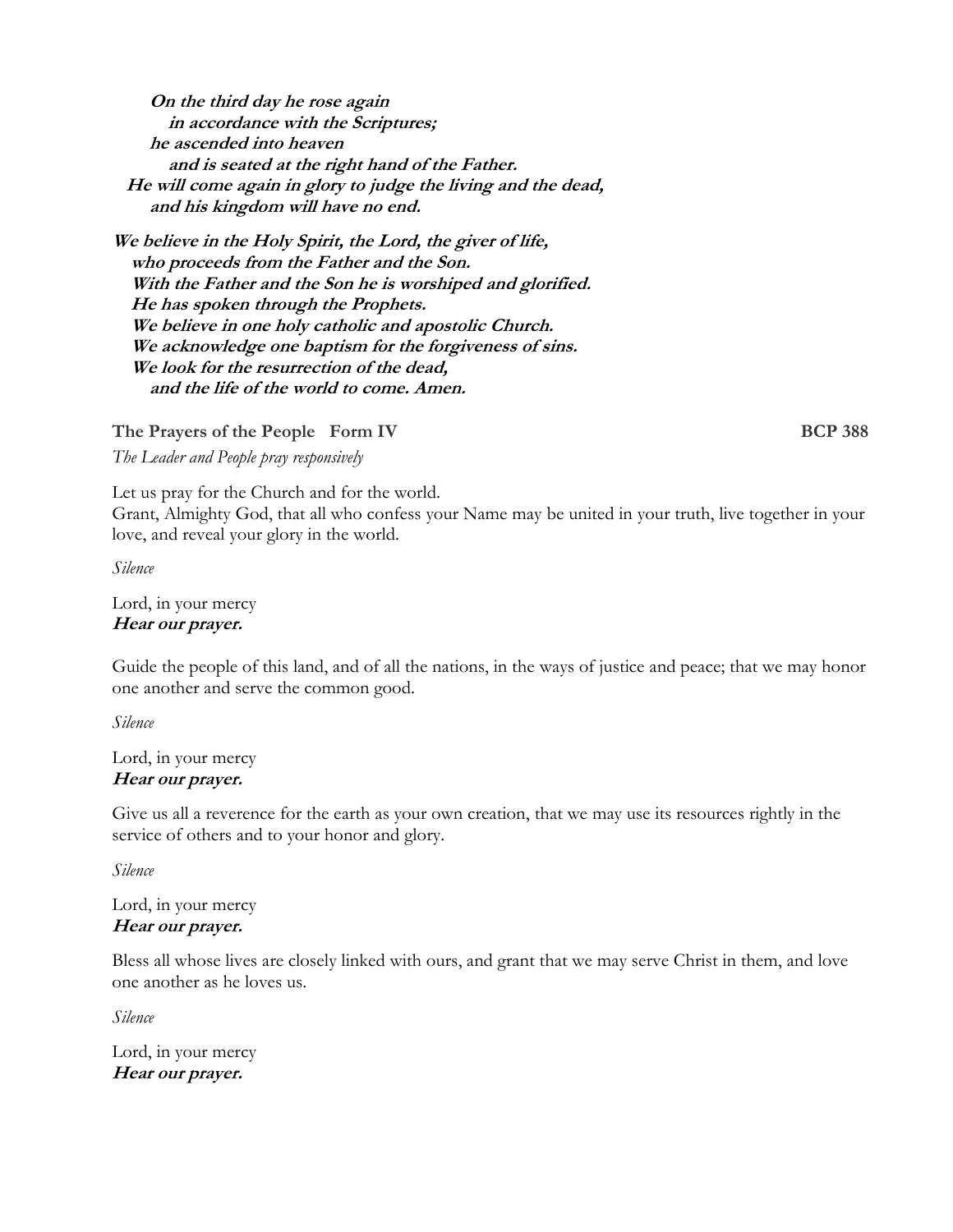**On the third day he rose again in accordance with the Scriptures; he ascended into heaven and is seated at the right hand of the Father. He will come again in glory to judge the living and the dead, and his kingdom will have no end.**

**We believe in the Holy Spirit, the Lord, the giver of life, who proceeds from the Father and the Son. With the Father and the Son he is worshiped and glorified. He has spoken through the Prophets. We believe in one holy catholic and apostolic Church. We acknowledge one baptism for the forgiveness of sins. We look for the resurrection of the dead, and the life of the world to come. Amen.**

**The Prayers of the People Form IV <b>BCP** 388 *The Leader and People pray responsively*

Let us pray for the Church and for the world. Grant, Almighty God, that all who confess your Name may be united in your truth, live together in your love, and reveal your glory in the world.

*Silence*

Lord, in your mercy **Hear our prayer.**

Guide the people of this land, and of all the nations, in the ways of justice and peace; that we may honor one another and serve the common good.

*Silence*

Lord, in your mercy **Hear our prayer.**

Give us all a reverence for the earth as your own creation, that we may use its resources rightly in the service of others and to your honor and glory.

*Silence*

Lord, in your mercy **Hear our prayer.**

Bless all whose lives are closely linked with ours, and grant that we may serve Christ in them, and love one another as he loves us.

*Silence*

Lord, in your mercy **Hear our prayer.**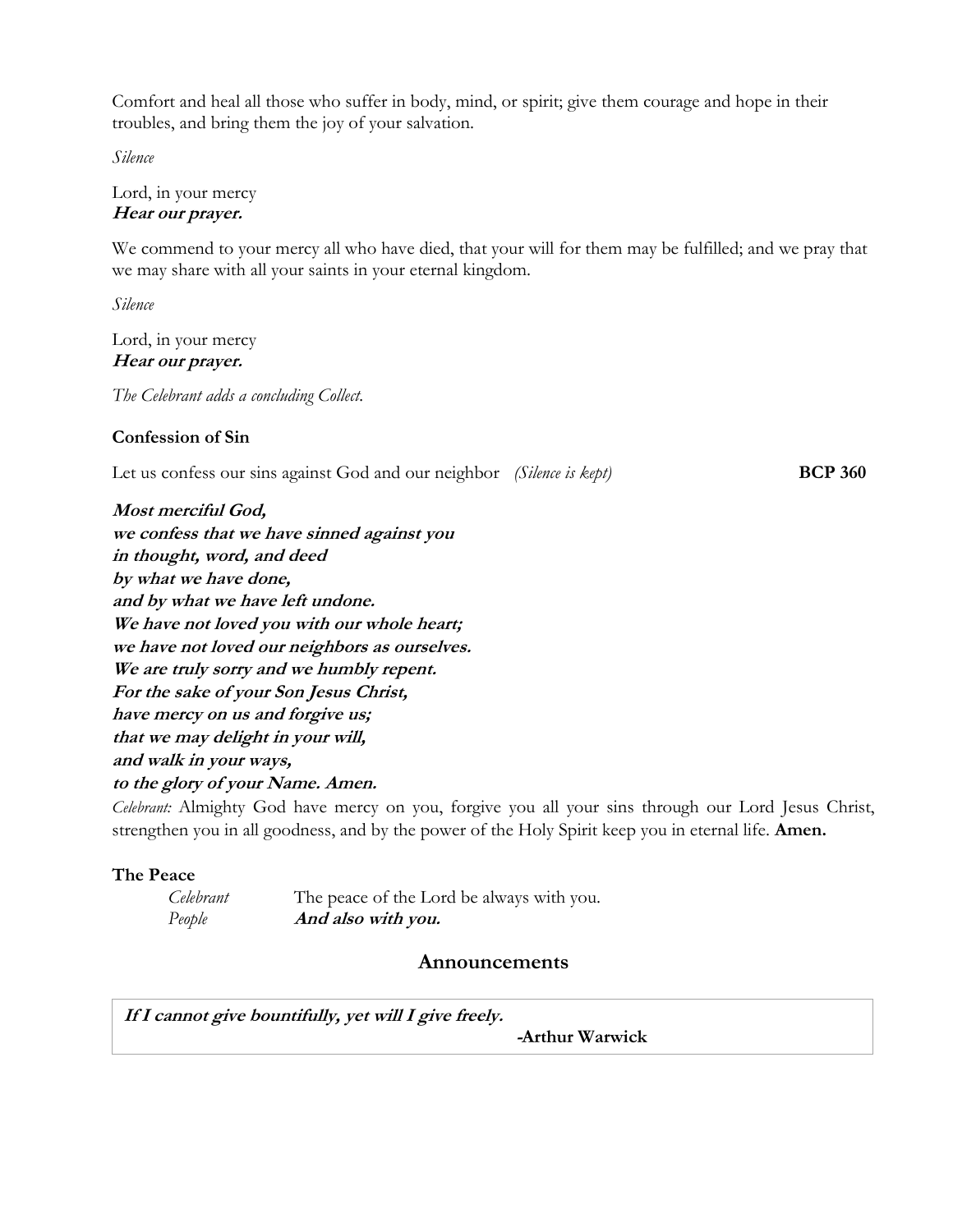Comfort and heal all those who suffer in body, mind, or spirit; give them courage and hope in their troubles, and bring them the joy of your salvation.

*Silence*

Lord, in your mercy **Hear our prayer.**

We commend to your mercy all who have died, that your will for them may be fulfilled; and we pray that we may share with all your saints in your eternal kingdom.

*Silence*

Lord, in your mercy **Hear our prayer.**

*The Celebrant adds a concluding Collect.*

# **Confession of Sin**

Let us confess our sins against God and our neighbor *(Silence is kept)* **BCP 360** 

**Most merciful God, we confess that we have sinned against you in thought, word, and deed by what we have done, and by what we have left undone. We have not loved you with our whole heart; we have not loved our neighbors as ourselves. We are truly sorry and we humbly repent. For the sake of your Son Jesus Christ, have mercy on us and forgive us; that we may delight in your will, and walk in your ways, to the glory of your Name. Amen.**

*Celebrant:* Almighty God have mercy on you, forgive you all your sins through our Lord Jesus Christ, strengthen you in all goodness, and by the power of the Holy Spirit keep you in eternal life. **Amen.**

# **The Peace**

*Celebrant* The peace of the Lord be always with you. *People* **And also with you.**

# **Announcements**

**If I cannot give bountifully, yet will I give freely.**

**-Arthur Warwick**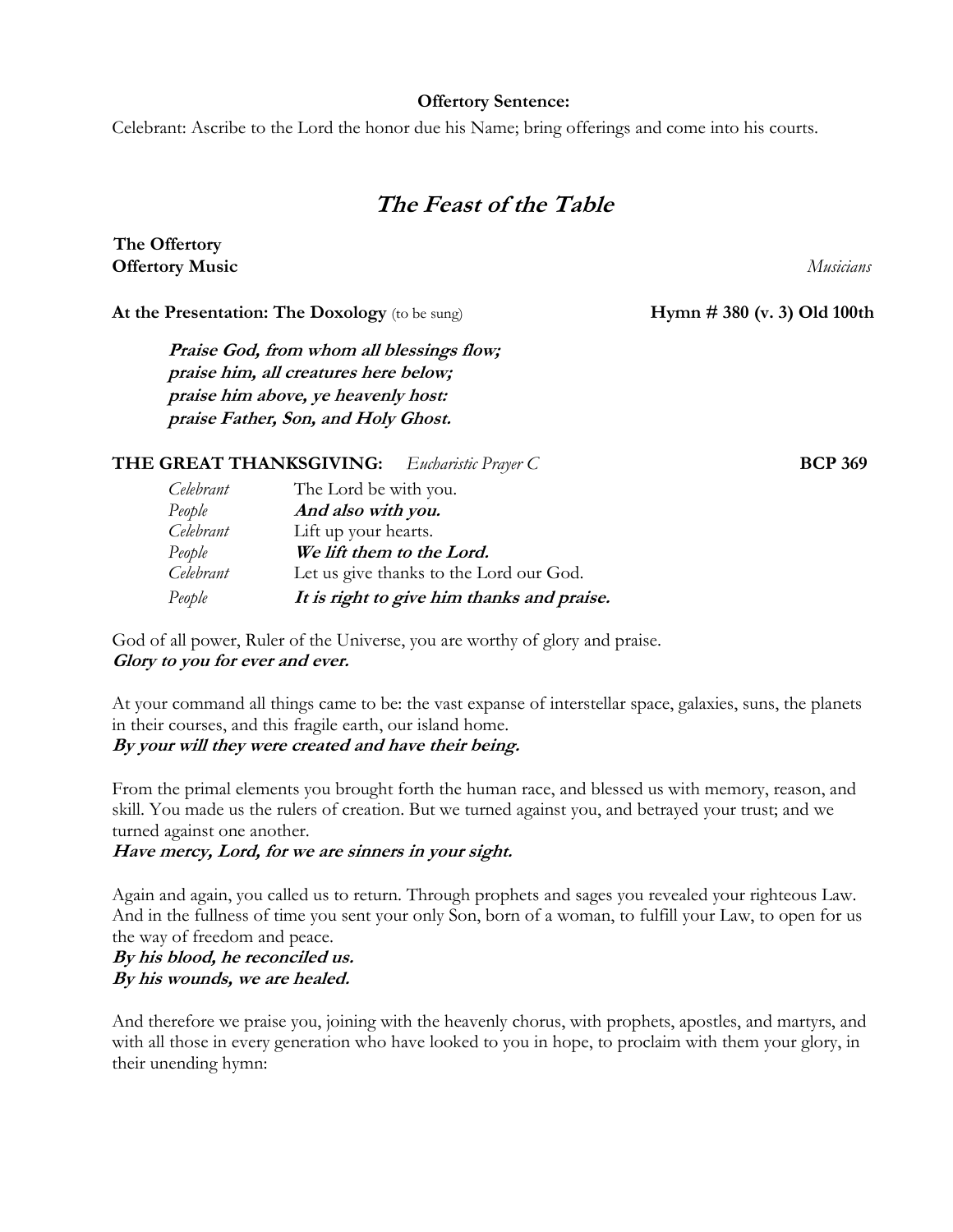## **Offertory Sentence:**

Celebrant: Ascribe to the Lord the honor due his Name; bring offerings and come into his courts.

# **The Feast of the Table**

| The Offertory          |                  |
|------------------------|------------------|
| <b>Offertory Music</b> | <i>Musicians</i> |

**At the Presentation: The Doxology** (to be sung) **Hymn # 380 (v. 3) Old 100th**

**Praise God, from whom all blessings flow; praise him, all creatures here below; praise him above, ye heavenly host: praise Father, Son, and Holy Ghost.**

**THE GREAT THANKSGIVING:** *Eucharistic Prayer C* **BCP 369** 

| Celebrant | The Lord be with you.                      |
|-----------|--------------------------------------------|
| People    | And also with you.                         |
| Celebrant | Lift up your hearts.                       |
| People    | We lift them to the Lord.                  |
| Celebrant | Let us give thanks to the Lord our God.    |
| People    | It is right to give him thanks and praise. |

God of all power, Ruler of the Universe, you are worthy of glory and praise. **Glory to you for ever and ever.**

At your command all things came to be: the vast expanse of interstellar space, galaxies, suns, the planets in their courses, and this fragile earth, our island home.

**By your will they were created and have their being.**

From the primal elements you brought forth the human race, and blessed us with memory, reason, and skill. You made us the rulers of creation. But we turned against you, and betrayed your trust; and we turned against one another.

**Have mercy, Lord, for we are sinners in your sight.**

Again and again, you called us to return. Through prophets and sages you revealed your righteous Law. And in the fullness of time you sent your only Son, born of a woman, to fulfill your Law, to open for us the way of freedom and peace.

**By his blood, he reconciled us. By his wounds, we are healed.**

And therefore we praise you, joining with the heavenly chorus, with prophets, apostles, and martyrs, and with all those in every generation who have looked to you in hope, to proclaim with them your glory, in their unending hymn: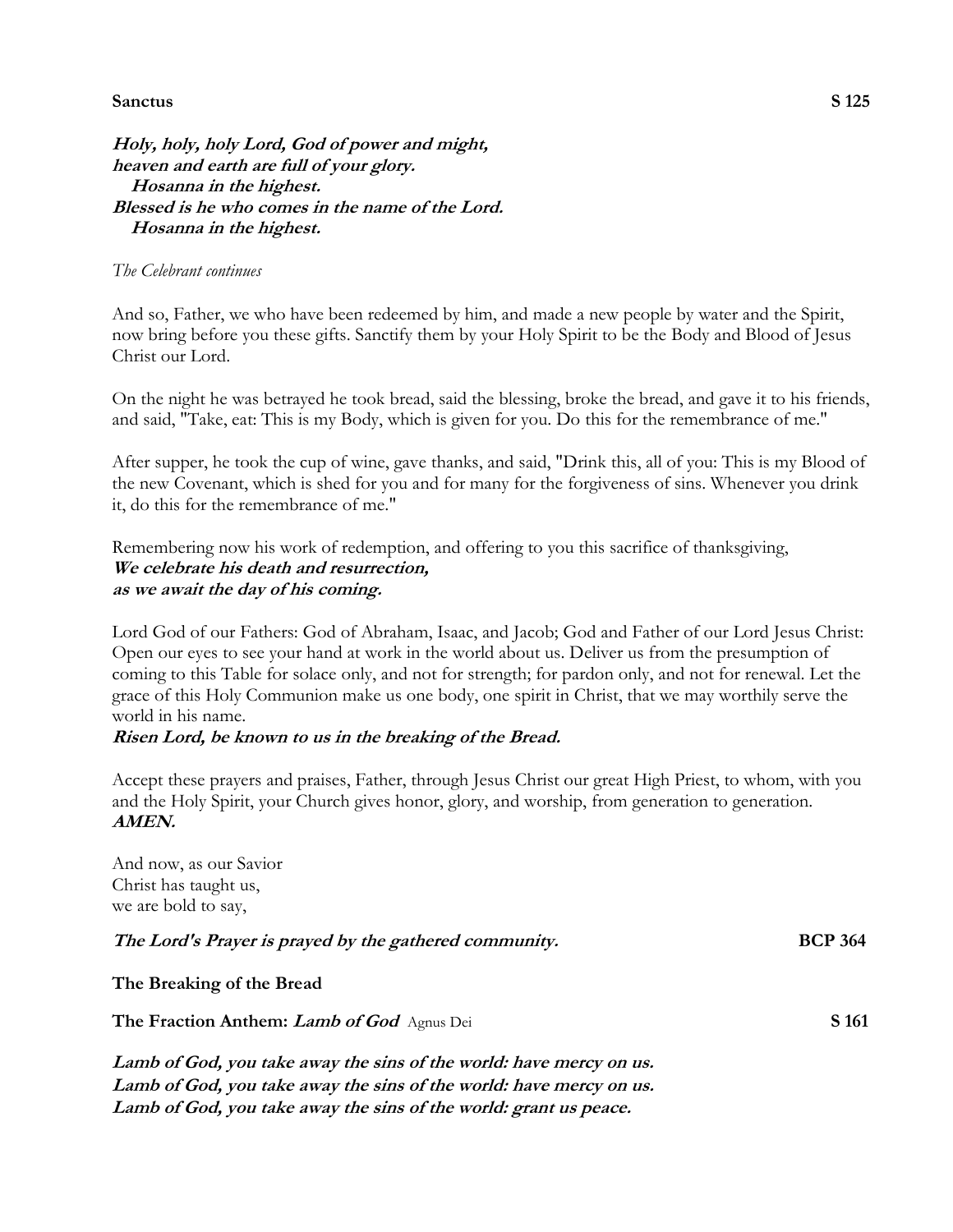# **Sanctus S 125**

# **Holy, holy, holy Lord, God of power and might, heaven and earth are full of your glory. Hosanna in the highest. Blessed is he who comes in the name of the Lord. Hosanna in the highest.**

# *The Celebrant continues*

And so, Father, we who have been redeemed by him, and made a new people by water and the Spirit, now bring before you these gifts. Sanctify them by your Holy Spirit to be the Body and Blood of Jesus Christ our Lord.

On the night he was betrayed he took bread, said the blessing, broke the bread, and gave it to his friends, and said, "Take, eat: This is my Body, which is given for you. Do this for the remembrance of me."

After supper, he took the cup of wine, gave thanks, and said, "Drink this, all of you: This is my Blood of the new Covenant, which is shed for you and for many for the forgiveness of sins. Whenever you drink it, do this for the remembrance of me."

Remembering now his work of redemption, and offering to you this sacrifice of thanksgiving, **We celebrate his death and resurrection, as we await the day of his coming.**

Lord God of our Fathers: God of Abraham, Isaac, and Jacob; God and Father of our Lord Jesus Christ: Open our eyes to see your hand at work in the world about us. Deliver us from the presumption of coming to this Table for solace only, and not for strength; for pardon only, and not for renewal. Let the grace of this Holy Communion make us one body, one spirit in Christ, that we may worthily serve the world in his name.

# **Risen Lord, be known to us in the breaking of the Bread.**

Accept these prayers and praises, Father, through Jesus Christ our great High Priest, to whom, with you and the Holy Spirit, your Church gives honor, glory, and worship, from generation to generation. **AMEN.**

And now, as our Savior Christ has taught us, we are bold to say,

| The Lord's Prayer is prayed by the gathered community. | <b>BCP 364</b> |
|--------------------------------------------------------|----------------|
| The Breaking of the Bread                              |                |
| The Fraction Anthem: <i>Lamb of God</i> Agnus Dei      | S 161          |

**Lamb of God, you take away the sins of the world: have mercy on us. Lamb of God, you take away the sins of the world: have mercy on us. Lamb of God, you take away the sins of the world: grant us peace.**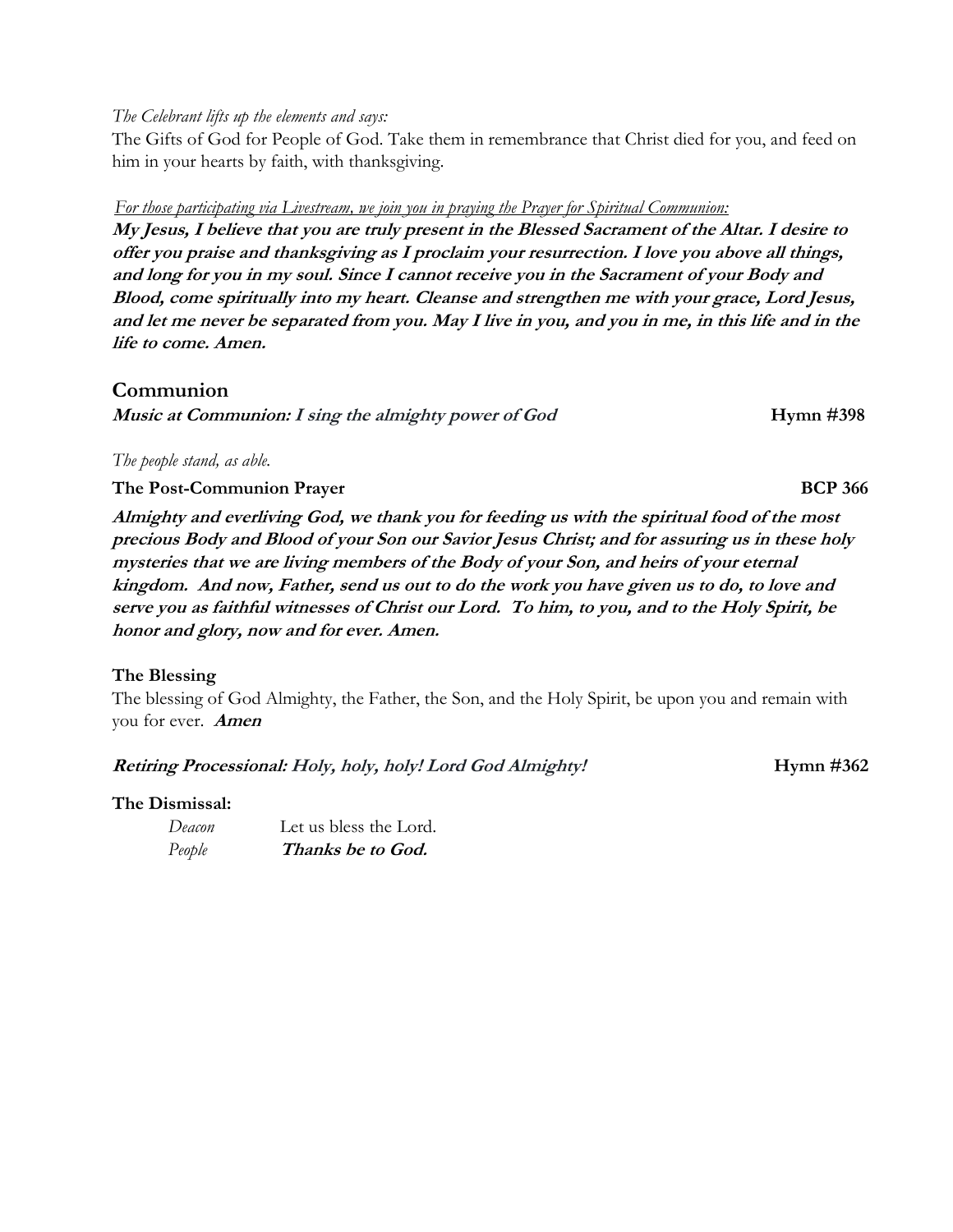# *The Celebrant lifts up the elements and says:*

The Gifts of God for People of God. Take them in remembrance that Christ died for you, and feed on him in your hearts by faith, with thanksgiving.

## *For those participating via Livestream, we join you in praying the Prayer for Spiritual Communion:*

**My Jesus, I believe that you are truly present in the Blessed Sacrament of the Altar. I desire to offer you praise and thanksgiving as I proclaim your resurrection. I love you above all things, and long for you in my soul. Since I cannot receive you in the Sacrament of your Body and Blood, come spiritually into my heart. Cleanse and strengthen me with your grace, Lord Jesus, and let me never be separated from you. May I live in you, and you in me, in this life and in the life to come. Amen.**

# **Communion**

**Music at Communion: I sing the almighty power of God Hymn #398**

## *The people stand, as able.*

# **The Post-Communion Prayer BCP 366**

**Almighty and everliving God, we thank you for feeding us with the spiritual food of the most precious Body and Blood of your Son our Savior Jesus Christ; and for assuring us in these holy mysteries that we are living members of the Body of your Son, and heirs of your eternal kingdom. And now, Father, send us out to do the work you have given us to do, to love and serve you as faithful witnesses of Christ our Lord. To him, to you, and to the Holy Spirit, be honor and glory, now and for ever. Amen.**

# **The Blessing**

The blessing of God Almighty, the Father, the Son, and the Holy Spirit, be upon you and remain with you for ever. **Amen**

# **Retiring Processional:** Holy, holy, holy! Lord God Almighty! *Hymn #362*

## **The Dismissal:**

*Deacon* Let us bless the Lord. *People* **Thanks be to God.**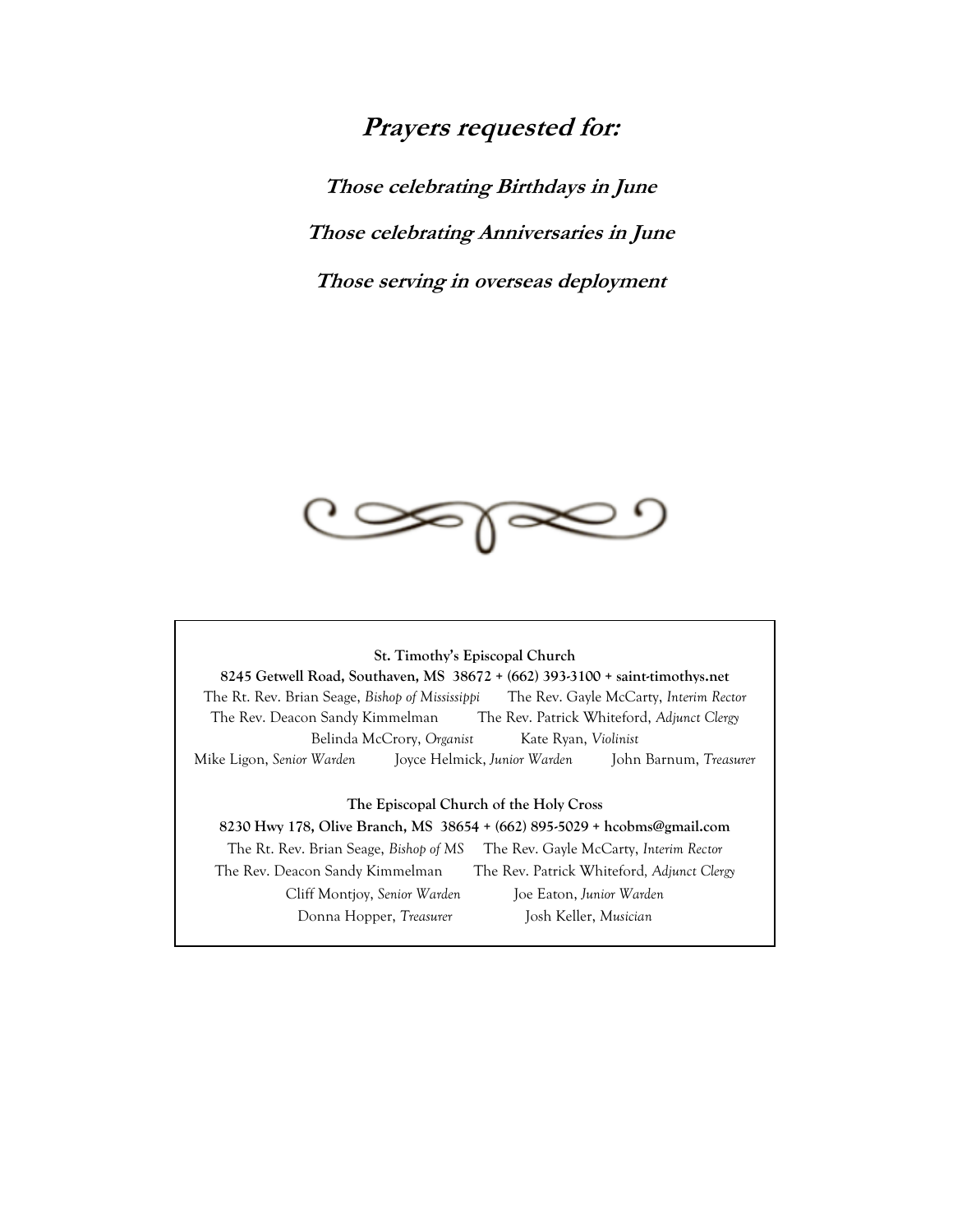# **Prayers requested for:**

**Those celebrating Birthdays in June Those celebrating Anniversaries in June Those serving in overseas deployment**



#### **St. Timothy's Episcopal Church**

**8245 Getwell Road, Southaven, MS 38672 + (662) 393-3100 + saint-timothys.net** The Rt. Rev. Brian Seage, *Bishop of Mississippi* The Rev. Gayle McCarty, *Interim Rector* The Rev. Deacon Sandy Kimmelman The Rev. Patrick Whiteford, *Adjunct Clergy* Belinda McCrory, *Organist* Kate Ryan, *Violinist* Mike Ligon, *Senior Warden* Joyce Helmick, *Junior Warden* John Barnum, *Treasurer*

#### **The Episcopal Church of the Holy Cross**

**8230 Hwy 178, Olive Branch, MS 38654 + (662) 895-5029 + hcobms@gmail.com** The Rt. Rev. Brian Seage, *Bishop of MS* The Rev. Gayle McCarty, *Interim Rector*

The Rev. Deacon Sandy Kimmelman The Rev. Patrick Whiteford*, Adjunct Clergy*  Cliff Montjoy, *Senior Warden* Joe Eaton, *Junior Warden* Donna Hopper, *Treasurer* Josh Keller, *Musician*